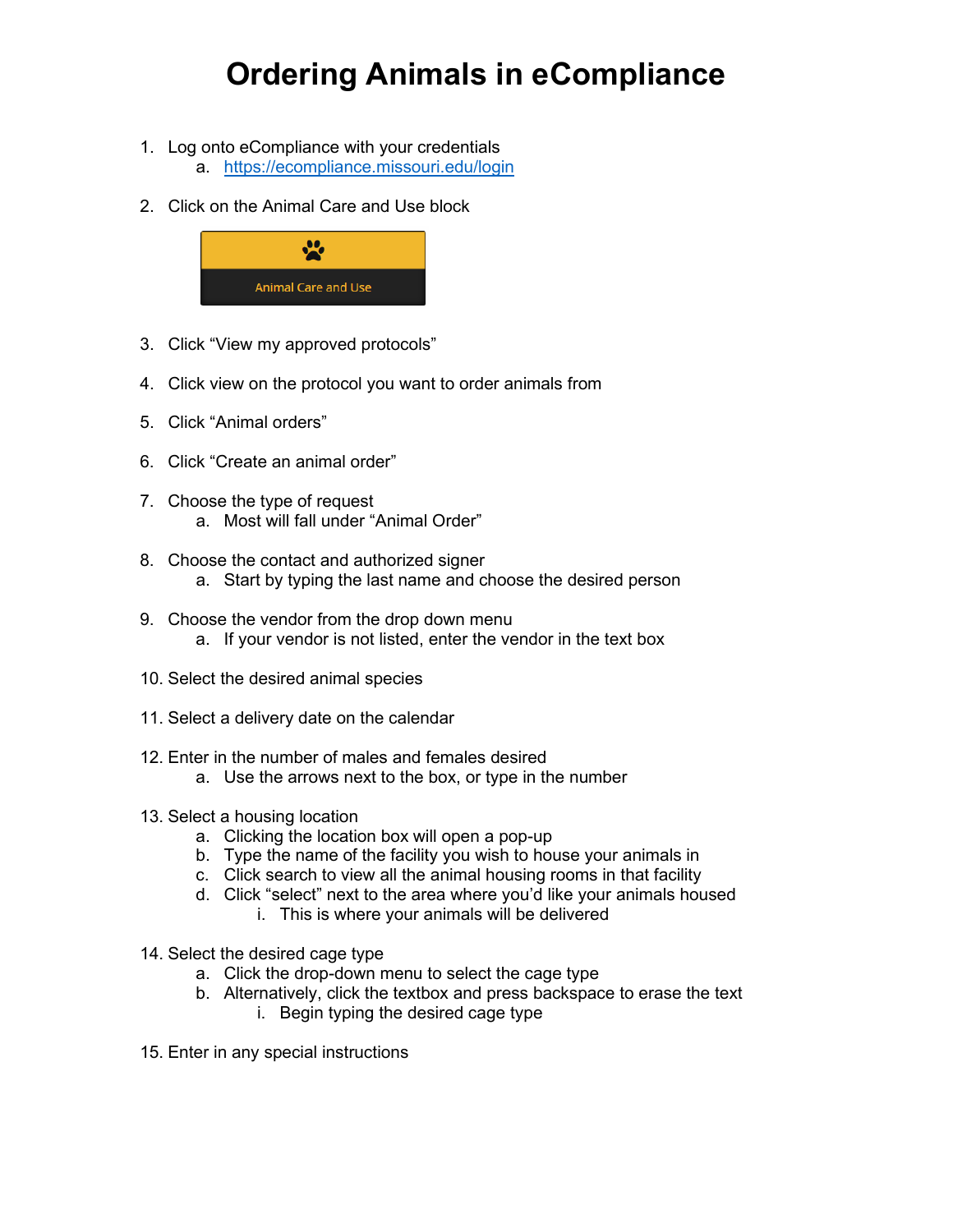## **Ordering Animals in eCompliance**

- 1. Log onto eCompliance with your credentials
	- a. <https://ecompliance.missouri.edu/login>
- 2. Click on the Animal Care and Use block



- 3. Click "View my approved protocols"
- 4. Click view on the protocol you want to order animals from
- 5. Click "Animal orders"
- 6. Click "Create an animal order"
- 7. Choose the type of request a. Most will fall under "Animal Order"
- 8. Choose the contact and authorized signer a. Start by typing the last name and choose the desired person
- 9. Choose the vendor from the drop down menu a. If your vendor is not listed, enter the vendor in the text box
- 10. Select the desired animal species
- 11. Select a delivery date on the calendar
- 12. Enter in the number of males and females desired
	- a. Use the arrows next to the box, or type in the number
- 13. Select a housing location
	- a. Clicking the location box will open a pop-up
	- b. Type the name of the facility you wish to house your animals in
	- c. Click search to view all the animal housing rooms in that facility
	- d. Click "select" next to the area where you'd like your animals housed
		- i. This is where your animals will be delivered
- 14. Select the desired cage type
	- a. Click the drop-down menu to select the cage type
	- b. Alternatively, click the textbox and press backspace to erase the text
		- i. Begin typing the desired cage type
- 15. Enter in any special instructions